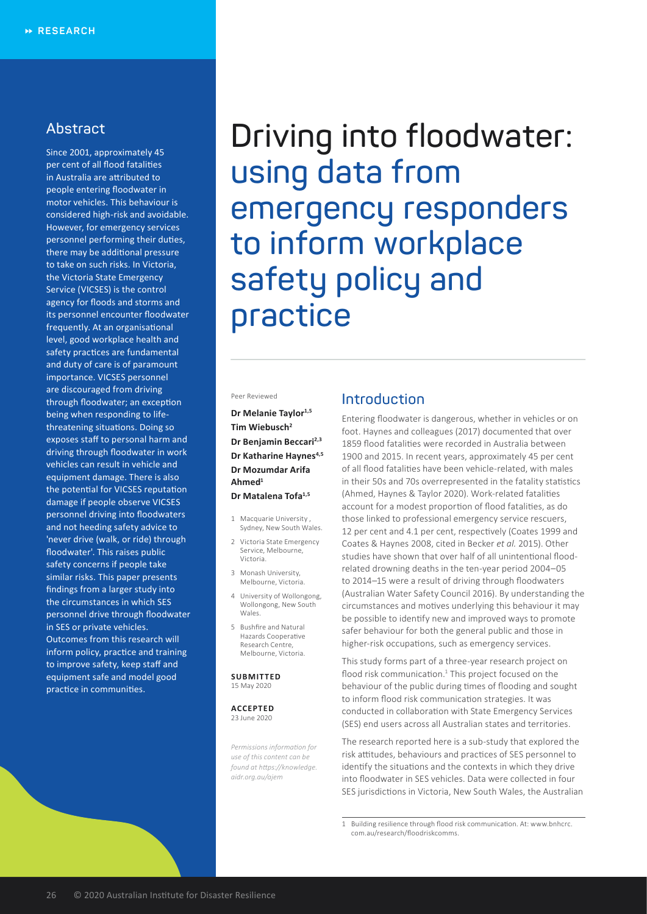# **Abstract**

Since 2001, approximately 45 per cent of all flood fatalities in Australia are attributed to people entering floodwater in motor vehicles. This behaviour is considered high-risk and avoidable. However, for emergency services personnel performing their duties, there may be additional pressure to take on such risks. In Victoria, the Victoria State Emergency Service (VICSES) is the control agency for floods and storms and its personnel encounter floodwater frequently. At an organisational level, good workplace health and safety practices are fundamental and duty of care is of paramount importance. VICSES personnel are discouraged from driving through floodwater; an exception being when responding to lifethreatening situations. Doing so exposes staff to personal harm and driving through floodwater in work vehicles can result in vehicle and equipment damage. There is also the potential for VICSES reputation damage if people observe VICSES personnel driving into floodwaters and not heeding safety advice to 'never drive (walk, or ride) through floodwater'. This raises public safety concerns if people take similar risks. This paper presents findings from a larger study into the circumstances in which SES personnel drive through floodwater in SES or private vehicles. Outcomes from this research will inform policy, practice and training to improve safety, keep staff and equipment safe and model good practice in communities.

**Driving into floodwater: using data from emergency responders to inform workplace safety policy and practice**

#### Peer Reviewed

### **Dr Melanie Taylor1,5 Tim Wiebusch2 Dr Benjamin Beccari2,3 Dr Katharine Haynes**<sup>4,5</sup> **Dr Mozumdar Arifa Ahmed1**

#### **Dr Matalena Tofa1,5**

- 1 Macquarie University , Sydney, New South Wales.
- 2 Victoria State Emergency Service, Melbourne, Victoria.
- 3 Monash University, Melbourne, Victoria.
- 4 University of Wollongong, Wollongong, New South Wales.
- 5 Bushfire and Natural Hazards Cooperative Research Centre, Melbourne, Victoria.

#### **SUBMITTED** 15 May 2020

**ACCEPTED** 23 June 2020

*Permissions information for use of this content can be found at https://knowledge. aidr.org.au/ajem*

# **Introduction**

Entering floodwater is dangerous, whether in vehicles or on foot. Haynes and colleagues (2017) documented that over 1859 flood fatalities were recorded in Australia between 1900 and 2015. In recent years, approximately 45 per cent of all flood fatalities have been vehicle-related, with males in their 50s and 70s overrepresented in the fatality statistics (Ahmed, Haynes & Taylor 2020). Work-related fatalities account for a modest proportion of flood fatalities, as do those linked to professional emergency service rescuers, 12 per cent and 4.1 per cent, respectively (Coates 1999 and Coates & Haynes 2008, cited in Becker *et al.* 2015). Other studies have shown that over half of all unintentional floodrelated drowning deaths in the ten-year period 2004–05 to 2014–15 were a result of driving through floodwaters (Australian Water Safety Council 2016). By understanding the circumstances and motives underlying this behaviour it may be possible to identify new and improved ways to promote safer behaviour for both the general public and those in higher-risk occupations, such as emergency services.

This study forms part of a three-year research project on flood risk communication.<sup>1</sup> This project focused on the behaviour of the public during times of flooding and sought to inform flood risk communication strategies. It was conducted in collaboration with State Emergency Services (SES) end users across all Australian states and territories.

The research reported here is a sub-study that explored the risk attitudes, behaviours and practices of SES personnel to identify the situations and the contexts in which they drive into floodwater in SES vehicles. Data were collected in four SES jurisdictions in Victoria, New South Wales, the Australian

1 Building resilience through flood risk communication. At: www.bnhcrc. com.au/research/floodriskcomms.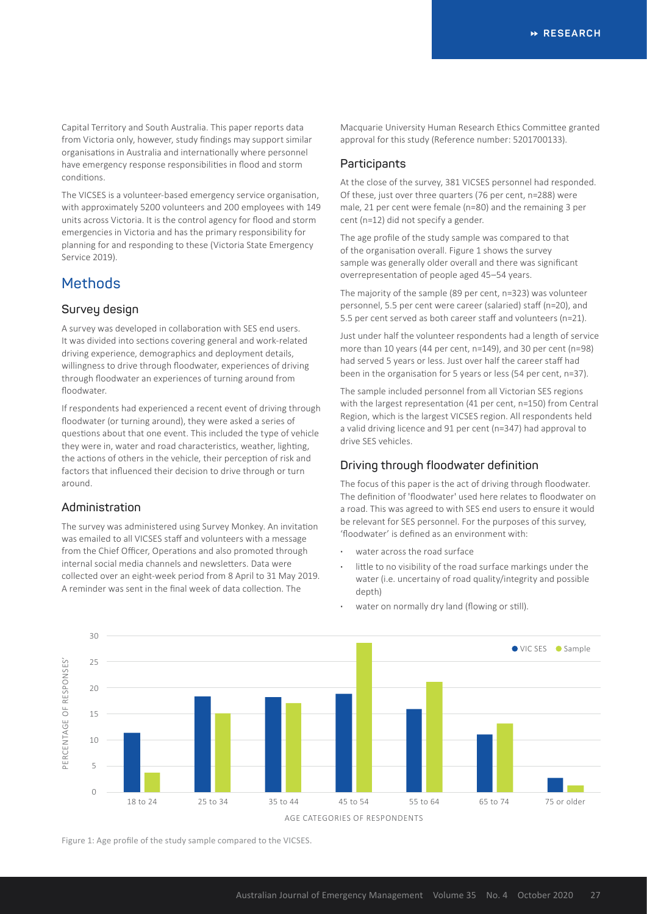Capital Territory and South Australia. This paper reports data from Victoria only, however, study findings may support similar organisations in Australia and internationally where personnel have emergency response responsibilities in flood and storm conditions.

The VICSES is a volunteer-based emergency service organisation, with approximately 5200 volunteers and 200 employees with 149 units across Victoria. It is the control agency for flood and storm emergencies in Victoria and has the primary responsibility for planning for and responding to these (Victoria State Emergency Service 2019).

# **Methods**

### **Survey design**

A survey was developed in collaboration with SES end users. It was divided into sections covering general and work-related driving experience, demographics and deployment details, willingness to drive through floodwater, experiences of driving through floodwater an experiences of turning around from floodwater.

If respondents had experienced a recent event of driving through floodwater (or turning around), they were asked a series of questions about that one event. This included the type of vehicle they were in, water and road characteristics, weather, lighting, the actions of others in the vehicle, their perception of risk and factors that influenced their decision to drive through or turn around.

### **Administration**

The survey was administered using Survey Monkey. An invitation was emailed to all VICSES staff and volunteers with a message from the Chief Officer, Operations and also promoted through internal social media channels and newsletters. Data were collected over an eight-week period from 8 April to 31 May 2019. A reminder was sent in the final week of data collection. The

Macquarie University Human Research Ethics Committee granted approval for this study (Reference number: 5201700133).

### **Participants**

At the close of the survey, 381 VICSES personnel had responded. Of these, just over three quarters (76 per cent, n=288) were male, 21 per cent were female (n=80) and the remaining 3 per cent (n=12) did not specify a gender.

The age profile of the study sample was compared to that of the organisation overall. Figure 1 shows the survey sample was generally older overall and there was significant overrepresentation of people aged 45–54 years.

The majority of the sample (89 per cent, n=323) was volunteer personnel, 5.5 per cent were career (salaried) staff (n=20), and 5.5 per cent served as both career staff and volunteers (n=21).

Just under half the volunteer respondents had a length of service more than 10 years (44 per cent, n=149), and 30 per cent (n=98) had served 5 years or less. Just over half the career staff had been in the organisation for 5 years or less (54 per cent, n=37).

The sample included personnel from all Victorian SES regions with the largest representation (41 per cent, n=150) from Central Region, which is the largest VICSES region. All respondents held a valid driving licence and 91 per cent (n=347) had approval to drive SES vehicles.

### **Driving through floodwater definition**

The focus of this paper is the act of driving through floodwater. The definition of 'floodwater' used here relates to floodwater on a road. This was agreed to with SES end users to ensure it would be relevant for SES personnel. For the purposes of this survey, 'floodwater' is defined as an environment with:

- **·** water across the road surface
- **·** little to no visibility of the road surface markings under the water (i.e. uncertainy of road quality/integrity and possible depth)



water on normally dry land (flowing or still).

Figure 1: Age profile of the study sample compared to the VICSES.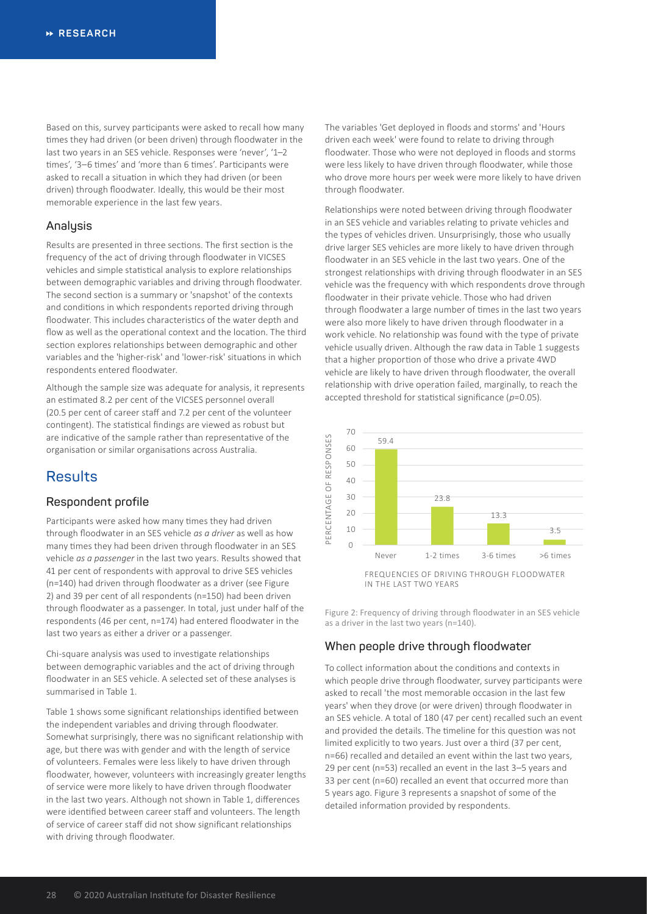Based on this, survey participants were asked to recall how many times they had driven (or been driven) through floodwater in the last two years in an SES vehicle. Responses were 'never', '1–2 times', '3–6 times' and 'more than 6 times'. Participants were asked to recall a situation in which they had driven (or been driven) through floodwater. Ideally, this would be their most memorable experience in the last few years.

### **Analysis**

Results are presented in three sections. The first section is the frequency of the act of driving through floodwater in VICSES vehicles and simple statistical analysis to explore relationships between demographic variables and driving through floodwater. The second section is a summary or 'snapshot' of the contexts and conditions in which respondents reported driving through floodwater. This includes characteristics of the water depth and flow as well as the operational context and the location. The third section explores relationships between demographic and other variables and the 'higher-risk' and 'lower-risk' situations in which respondents entered floodwater.

Although the sample size was adequate for analysis, it represents an estimated 8.2 per cent of the VICSES personnel overall (20.5 per cent of career staff and 7.2 per cent of the volunteer contingent). The statistical findings are viewed as robust but are indicative of the sample rather than representative of the organisation or similar organisations across Australia.

# **Results**

#### **Respondent profile**

Participants were asked how many times they had driven through floodwater in an SES vehicle *as a driver* as well as how many times they had been driven through floodwater in an SES vehicle *as a passenger* in the last two years. Results showed that 41 per cent of respondents with approval to drive SES vehicles (n=140) had driven through floodwater as a driver (see Figure 2) and 39 per cent of all respondents (n=150) had been driven through floodwater as a passenger. In total, just under half of the respondents (46 per cent, n=174) had entered floodwater in the last two years as either a driver or a passenger.

Chi-square analysis was used to investigate relationships between demographic variables and the act of driving through floodwater in an SES vehicle. A selected set of these analyses is summarised in Table 1.

Table 1 shows some significant relationships identified between the independent variables and driving through floodwater. Somewhat surprisingly, there was no significant relationship with age, but there was with gender and with the length of service of volunteers. Females were less likely to have driven through floodwater, however, volunteers with increasingly greater lengths of service were more likely to have driven through floodwater in the last two years. Although not shown in Table 1, differences were identified between career staff and volunteers. The length of service of career staff did not show significant relationships with driving through floodwater.

The variables 'Get deployed in floods and storms' and 'Hours driven each week' were found to relate to driving through floodwater. Those who were not deployed in floods and storms were less likely to have driven through floodwater, while those who drove more hours per week were more likely to have driven through floodwater.

Relationships were noted between driving through floodwater in an SES vehicle and variables relating to private vehicles and the types of vehicles driven. Unsurprisingly, those who usually drive larger SES vehicles are more likely to have driven through floodwater in an SES vehicle in the last two years. One of the strongest relationships with driving through floodwater in an SES vehicle was the frequency with which respondents drove through floodwater in their private vehicle. Those who had driven through floodwater a large number of times in the last two years were also more likely to have driven through floodwater in a work vehicle. No relationship was found with the type of private vehicle usually driven. Although the raw data in Table 1 suggests that a higher proportion of those who drive a private 4WD vehicle are likely to have driven through floodwater, the overall relationship with drive operation failed, marginally, to reach the accepted threshold for statistical significance (*p*=0.05).



Figure 2: Frequency of driving through floodwater in an SES vehicle as a driver in the last two years (n=140).

## **When people drive through floodwater**

To collect information about the conditions and contexts in which people drive through floodwater, survey participants were asked to recall 'the most memorable occasion in the last few years' when they drove (or were driven) through floodwater in an SES vehicle. A total of 180 (47 per cent) recalled such an event and provided the details. The timeline for this question was not limited explicitly to two years. Just over a third (37 per cent, n=66) recalled and detailed an event within the last two years, 29 per cent (n=53) recalled an event in the last 3–5 years and 33 per cent (n=60) recalled an event that occurred more than 5 years ago. Figure 3 represents a snapshot of some of the detailed information provided by respondents.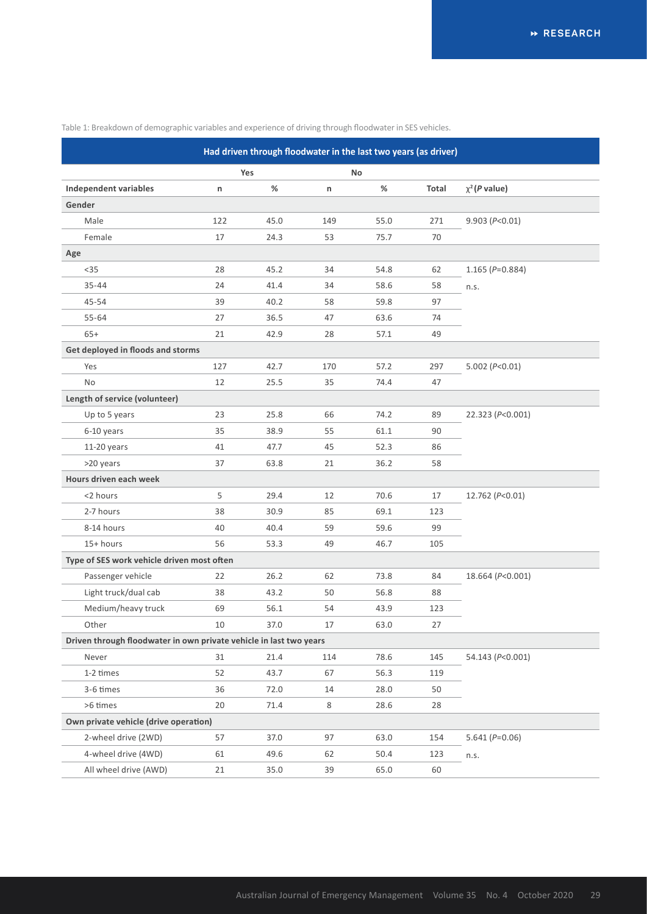Table 1: Breakdown of demographic variables and experience of driving through floodwater in SES vehicles.

| Had driven through floodwater in the last two years (as driver)    |     |      |     |      |       |                    |  |  |  |  |
|--------------------------------------------------------------------|-----|------|-----|------|-------|--------------------|--|--|--|--|
|                                                                    | Yes |      | No  |      |       |                    |  |  |  |  |
| <b>Independent variables</b>                                       | n   | %    | n   | $\%$ | Total | $\chi^2$ (P value) |  |  |  |  |
| Gender                                                             |     |      |     |      |       |                    |  |  |  |  |
| Male                                                               | 122 | 45.0 | 149 | 55.0 | 271   | 9.903 (P<0.01)     |  |  |  |  |
| Female                                                             | 17  | 24.3 | 53  | 75.7 | 70    |                    |  |  |  |  |
| Age                                                                |     |      |     |      |       |                    |  |  |  |  |
| $35$                                                               | 28  | 45.2 | 34  | 54.8 | 62    | $1.165 (P=0.884)$  |  |  |  |  |
| $35 - 44$                                                          | 24  | 41.4 | 34  | 58.6 | 58    | n.s.               |  |  |  |  |
| 45-54                                                              | 39  | 40.2 | 58  | 59.8 | 97    |                    |  |  |  |  |
| $55 - 64$                                                          | 27  | 36.5 | 47  | 63.6 | 74    |                    |  |  |  |  |
| $65+$                                                              | 21  | 42.9 | 28  | 57.1 | 49    |                    |  |  |  |  |
| Get deployed in floods and storms                                  |     |      |     |      |       |                    |  |  |  |  |
| Yes                                                                | 127 | 42.7 | 170 | 57.2 | 297   | 5.002 ( $P<0.01$ ) |  |  |  |  |
| No                                                                 | 12  | 25.5 | 35  | 74.4 | 47    |                    |  |  |  |  |
| Length of service (volunteer)                                      |     |      |     |      |       |                    |  |  |  |  |
| Up to 5 years                                                      | 23  | 25.8 | 66  | 74.2 | 89    | 22.323 (P<0.001)   |  |  |  |  |
| 6-10 years                                                         | 35  | 38.9 | 55  | 61.1 | 90    |                    |  |  |  |  |
| 11-20 years                                                        | 41  | 47.7 | 45  | 52.3 | 86    |                    |  |  |  |  |
| >20 years                                                          | 37  | 63.8 | 21  | 36.2 | 58    |                    |  |  |  |  |
| Hours driven each week                                             |     |      |     |      |       |                    |  |  |  |  |
| <2 hours                                                           | 5   | 29.4 | 12  | 70.6 | 17    | 12.762 (P<0.01)    |  |  |  |  |
| 2-7 hours                                                          | 38  | 30.9 | 85  | 69.1 | 123   |                    |  |  |  |  |
| 8-14 hours                                                         | 40  | 40.4 | 59  | 59.6 | 99    |                    |  |  |  |  |
| 15+ hours                                                          | 56  | 53.3 | 49  | 46.7 | 105   |                    |  |  |  |  |
| Type of SES work vehicle driven most often                         |     |      |     |      |       |                    |  |  |  |  |
| Passenger vehicle                                                  | 22  | 26.2 | 62  | 73.8 | 84    | 18.664 (P<0.001)   |  |  |  |  |
| Light truck/dual cab                                               | 38  | 43.2 | 50  | 56.8 | 88    |                    |  |  |  |  |
| Medium/heavy truck                                                 | 69  | 56.1 | 54  | 43.9 | 123   |                    |  |  |  |  |
| Other                                                              | 10  | 37.0 | 17  | 63.0 | 27    |                    |  |  |  |  |
| Driven through floodwater in own private vehicle in last two years |     |      |     |      |       |                    |  |  |  |  |
| Never                                                              | 31  | 21.4 | 114 | 78.6 | 145   | 54.143 (P<0.001)   |  |  |  |  |
| 1-2 times                                                          | 52  | 43.7 | 67  | 56.3 | 119   |                    |  |  |  |  |
| 3-6 times                                                          | 36  | 72.0 | 14  | 28.0 | 50    |                    |  |  |  |  |
| >6 times                                                           | 20  | 71.4 | 8   | 28.6 | 28    |                    |  |  |  |  |
| Own private vehicle (drive operation)                              |     |      |     |      |       |                    |  |  |  |  |
| 2-wheel drive (2WD)                                                | 57  | 37.0 | 97  | 63.0 | 154   | $5.641 (P=0.06)$   |  |  |  |  |
| 4-wheel drive (4WD)                                                | 61  | 49.6 | 62  | 50.4 | 123   | n.s.               |  |  |  |  |
| All wheel drive (AWD)                                              | 21  | 35.0 | 39  | 65.0 | 60    |                    |  |  |  |  |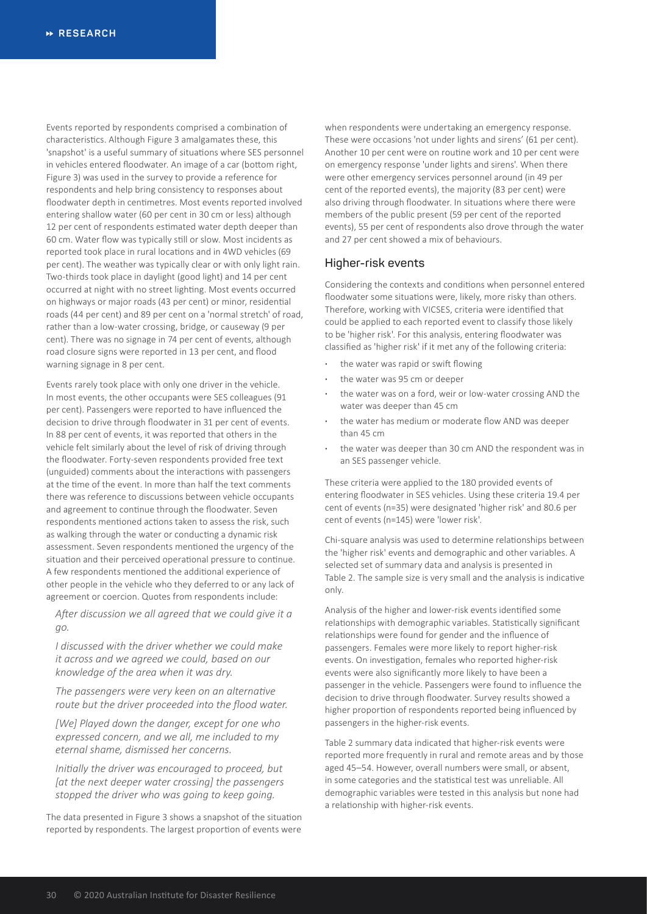Events reported by respondents comprised a combination of characteristics. Although Figure 3 amalgamates these, this 'snapshot' is a useful summary of situations where SES personnel in vehicles entered floodwater. An image of a car (bottom right, Figure 3) was used in the survey to provide a reference for respondents and help bring consistency to responses about floodwater depth in centimetres. Most events reported involved entering shallow water (60 per cent in 30 cm or less) although 12 per cent of respondents estimated water depth deeper than 60 cm. Water flow was typically still or slow. Most incidents as reported took place in rural locations and in 4WD vehicles (69 per cent). The weather was typically clear or with only light rain. Two-thirds took place in daylight (good light) and 14 per cent occurred at night with no street lighting. Most events occurred on highways or major roads (43 per cent) or minor, residential roads (44 per cent) and 89 per cent on a 'normal stretch' of road, rather than a low-water crossing, bridge, or causeway (9 per cent). There was no signage in 74 per cent of events, although road closure signs were reported in 13 per cent, and flood warning signage in 8 per cent.

Events rarely took place with only one driver in the vehicle. In most events, the other occupants were SES colleagues (91 per cent). Passengers were reported to have influenced the decision to drive through floodwater in 31 per cent of events. In 88 per cent of events, it was reported that others in the vehicle felt similarly about the level of risk of driving through the floodwater. Forty-seven respondents provided free text (unguided) comments about the interactions with passengers at the time of the event. In more than half the text comments there was reference to discussions between vehicle occupants and agreement to continue through the floodwater. Seven respondents mentioned actions taken to assess the risk, such as walking through the water or conducting a dynamic risk assessment. Seven respondents mentioned the urgency of the situation and their perceived operational pressure to continue. A few respondents mentioned the additional experience of other people in the vehicle who they deferred to or any lack of agreement or coercion. Quotes from respondents include:

*After discussion we all agreed that we could give it a go.*

*I discussed with the driver whether we could make it across and we agreed we could, based on our knowledge of the area when it was dry.*

*The passengers were very keen on an alternative route but the driver proceeded into the flood water.*

*[We] Played down the danger, except for one who expressed concern, and we all, me included to my eternal shame, dismissed her concerns.*

*Initially the driver was encouraged to proceed, but [at the next deeper water crossing] the passengers stopped the driver who was going to keep going.*

The data presented in Figure 3 shows a snapshot of the situation reported by respondents. The largest proportion of events were

when respondents were undertaking an emergency response. These were occasions 'not under lights and sirens' (61 per cent). Another 10 per cent were on routine work and 10 per cent were on emergency response 'under lights and sirens'. When there were other emergency services personnel around (in 49 per cent of the reported events), the majority (83 per cent) were also driving through floodwater. In situations where there were members of the public present (59 per cent of the reported events), 55 per cent of respondents also drove through the water and 27 per cent showed a mix of behaviours.

#### **Higher-risk events**

Considering the contexts and conditions when personnel entered floodwater some situations were, likely, more risky than others. Therefore, working with VICSES, criteria were identified that could be applied to each reported event to classify those likely to be 'higher risk'. For this analysis, entering floodwater was classified as 'higher risk' if it met any of the following criteria:

- **·** the water was rapid or swift flowing
- **·** the water was 95 cm or deeper
- **·** the water was on a ford, weir or low-water crossing AND the water was deeper than 45 cm
- **·** the water has medium or moderate flow AND was deeper than 45 cm
- **·** the water was deeper than 30 cm AND the respondent was in an SES passenger vehicle.

These criteria were applied to the 180 provided events of entering floodwater in SES vehicles. Using these criteria 19.4 per cent of events (n=35) were designated 'higher risk' and 80.6 per cent of events (n=145) were 'lower risk'.

Chi-square analysis was used to determine relationships between the 'higher risk' events and demographic and other variables. A selected set of summary data and analysis is presented in Table 2. The sample size is very small and the analysis is indicative only.

Analysis of the higher and lower-risk events identified some relationships with demographic variables. Statistically significant relationships were found for gender and the influence of passengers. Females were more likely to report higher-risk events. On investigation, females who reported higher-risk events were also significantly more likely to have been a passenger in the vehicle. Passengers were found to influence the decision to drive through floodwater. Survey results showed a higher proportion of respondents reported being influenced by passengers in the higher-risk events.

Table 2 summary data indicated that higher-risk events were reported more frequently in rural and remote areas and by those aged 45–54. However, overall numbers were small, or absent, in some categories and the statistical test was unreliable. All demographic variables were tested in this analysis but none had a relationship with higher-risk events.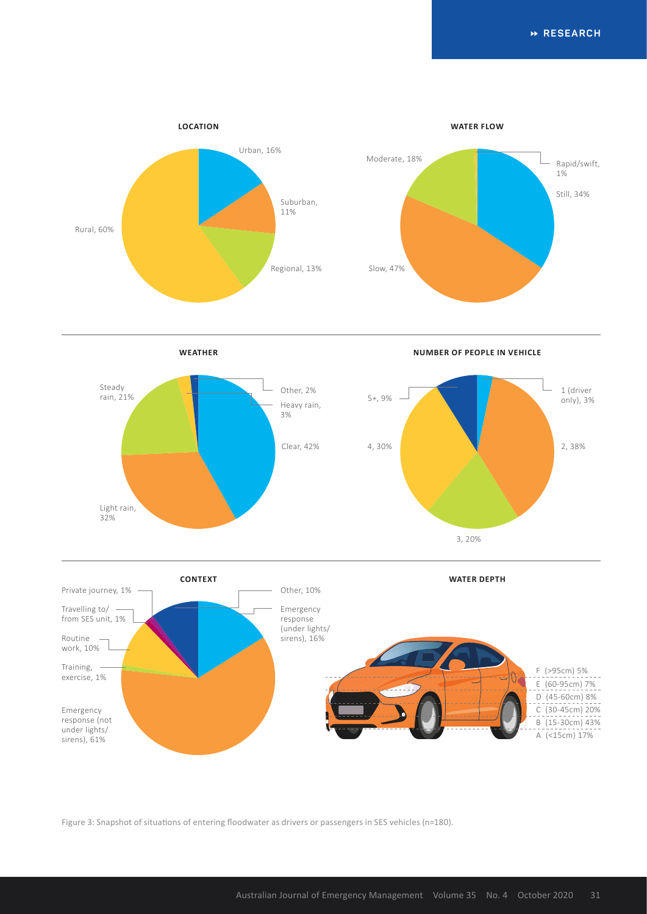**RESEARCH**



**WEATHER**

**NUMBER OF PEOPLE IN VEHICLE**





Figure 3: Snapshot of situations of entering floodwater as drivers or passengers in SES vehicles (n=180).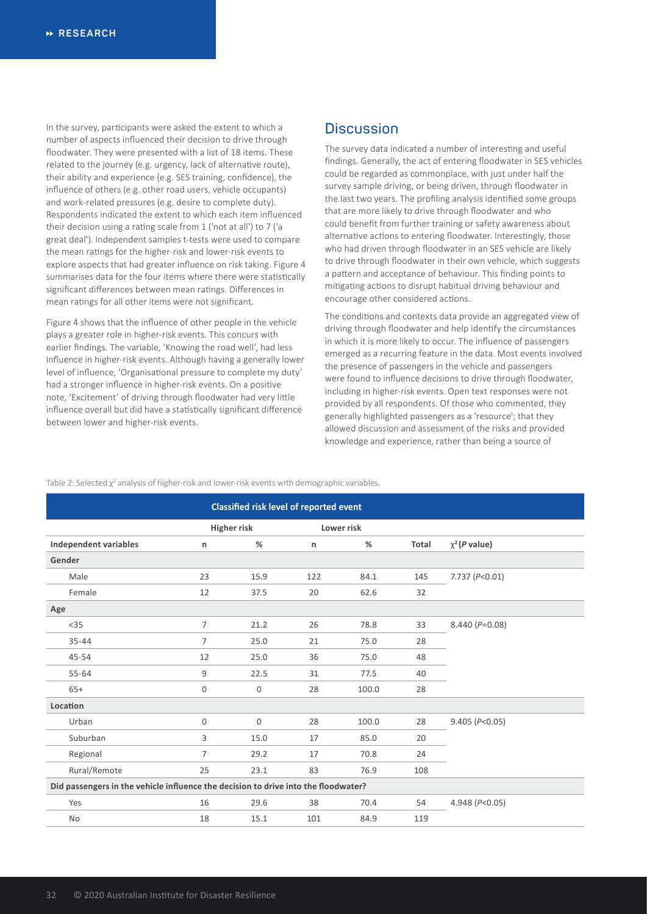In the survey, participants were asked the extent to which a number of aspects influenced their decision to drive through floodwater. They were presented with a list of 18 items. These related to the journey (e.g. urgency, lack of alternative route), their ability and experience (e.g. SES training, confidence), the influence of others (e.g. other road users, vehicle occupants) and work-related pressures (e.g. desire to complete duty). Respondents indicated the extent to which each item influenced their decision using a rating scale from 1 ('not at all') to 7 ('a great deal'). Independent samples t-tests were used to compare the mean ratings for the higher-risk and lower-risk events to explore aspects that had greater influence on risk taking. Figure 4 summarises data for the four items where there were statistically significant differences between mean ratings. Differences in mean ratings for all other items were not significant.

Figure 4 shows that the influence of other people in the vehicle plays a greater role in higher-risk events. This concurs with earlier findings. The variable, 'Knowing the road well', had less influence in higher-risk events. Although having a generally lower level of influence, 'Organisational pressure to complete my duty' had a stronger influence in higher-risk events. On a positive note, 'Excitement' of driving through floodwater had very little influence overall but did have a statistically significant difference between lower and higher-risk events.

## **Discussion**

The survey data indicated a number of interesting and useful findings. Generally, the act of entering floodwater in SES vehicles could be regarded as commonplace, with just under half the survey sample driving, or being driven, through floodwater in the last two years. The profiling analysis identified some groups that are more likely to drive through floodwater and who could benefit from further training or safety awareness about alternative actions to entering floodwater. Interestingly, those who had driven through floodwater in an SES vehicle are likely to drive through floodwater in their own vehicle, which suggests a pattern and acceptance of behaviour. This finding points to mitigating actions to disrupt habitual driving behaviour and encourage other considered actions.

The conditions and contexts data provide an aggregated view of driving through floodwater and help identify the circumstances in which it is more likely to occur. The influence of passengers emerged as a recurring feature in the data. Most events involved the presence of passengers in the vehicle and passengers were found to influence decisions to drive through floodwater, including in higher-risk events. Open text responses were not provided by all respondents. Of those who commented, they generally highlighted passengers as a 'resource'; that they allowed discussion and assessment of the risks and provided knowledge and experience, rather than being a source of

Table 2: Selected  $\chi^2$  analysis of higher-risk and lower-risk events with demographic variables.

|                                                                                    |                | <b>Classified risk level of reported event</b> |            |       |       |                      |
|------------------------------------------------------------------------------------|----------------|------------------------------------------------|------------|-------|-------|----------------------|
|                                                                                    | Higher risk    |                                                | Lower risk |       |       |                      |
| <b>Independent variables</b>                                                       | n              | %                                              | n          | %     | Total | $\chi^2$ (P value)   |
| Gender                                                                             |                |                                                |            |       |       |                      |
| Male                                                                               | 23             | 15.9                                           | 122        | 84.1  | 145   | 7.737 ( $P<0.01$ )   |
| Female                                                                             | 12             | 37.5                                           | 20         | 62.6  | 32    |                      |
| Age                                                                                |                |                                                |            |       |       |                      |
| $35$                                                                               | $\overline{7}$ | 21.2                                           | 26         | 78.8  | 33    | $8.440 (P=0.08)$     |
| $35 - 44$                                                                          | $\overline{7}$ | 25.0                                           | 21         | 75.0  | 28    |                      |
| $45 - 54$                                                                          | 12             | 25.0                                           | 36         | 75.0  | 48    |                      |
| $55 - 64$                                                                          | 9              | 22.5                                           | 31         | 77.5  | 40    |                      |
| $65+$                                                                              | 0              | 0                                              | 28         | 100.0 | 28    |                      |
| Location                                                                           |                |                                                |            |       |       |                      |
| Urban                                                                              | $\mathbf 0$    | $\mathbf 0$                                    | 28         | 100.0 | 28    | 9.405 (P<0.05)       |
| Suburban                                                                           | 3              | 15.0                                           | 17         | 85.0  | 20    |                      |
| Regional                                                                           | $\overline{7}$ | 29.2                                           | 17         | 70.8  | 24    |                      |
| Rural/Remote                                                                       | 25             | 23.1                                           | 83         | 76.9  | 108   |                      |
| Did passengers in the vehicle influence the decision to drive into the floodwater? |                |                                                |            |       |       |                      |
| Yes                                                                                | 16             | 29.6                                           | 38         | 70.4  | 54    | 4.948 ( $P < 0.05$ ) |
| No                                                                                 | 18             | 15.1                                           | 101        | 84.9  | 119   |                      |
|                                                                                    |                |                                                |            |       |       |                      |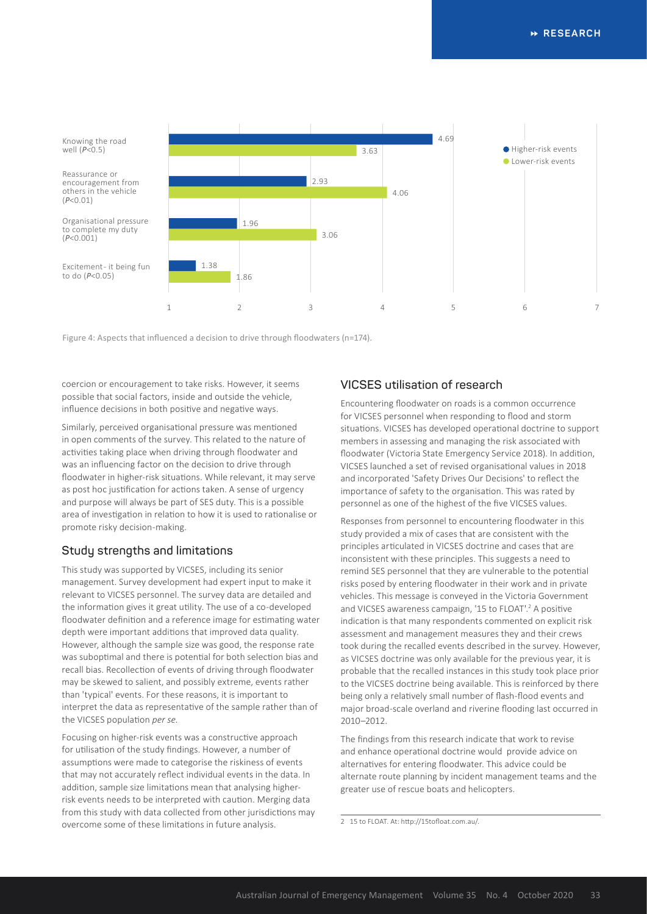

Figure 4: Aspects that influenced a decision to drive through floodwaters (n=174).

coercion or encouragement to take risks. However, it seems possible that social factors, inside and outside the vehicle, influence decisions in both positive and negative ways.

Similarly, perceived organisational pressure was mentioned in open comments of the survey. This related to the nature of activities taking place when driving through floodwater and was an influencing factor on the decision to drive through floodwater in higher-risk situations. While relevant, it may serve as post hoc justification for actions taken. A sense of urgency and purpose will always be part of SES duty. This is a possible area of investigation in relation to how it is used to rationalise or promote risky decision-making.

### **Study strengths and limitations**

This study was supported by VICSES, including its senior management. Survey development had expert input to make it relevant to VICSES personnel. The survey data are detailed and the information gives it great utility. The use of a co-developed floodwater definition and a reference image for estimating water depth were important additions that improved data quality. However, although the sample size was good, the response rate was suboptimal and there is potential for both selection bias and recall bias. Recollection of events of driving through floodwater may be skewed to salient, and possibly extreme, events rather than 'typical' events. For these reasons, it is important to interpret the data as representative of the sample rather than of the VICSES population *per se*.

Focusing on higher-risk events was a constructive approach for utilisation of the study findings. However, a number of assumptions were made to categorise the riskiness of events that may not accurately reflect individual events in the data. In addition, sample size limitations mean that analysing higherrisk events needs to be interpreted with caution. Merging data from this study with data collected from other jurisdictions may overcome some of these limitations in future analysis.

### **VICSES utilisation of research**

Encountering floodwater on roads is a common occurrence for VICSES personnel when responding to flood and storm situations. VICSES has developed operational doctrine to support members in assessing and managing the risk associated with floodwater (Victoria State Emergency Service 2018). In addition, VICSES launched a set of revised organisational values in 2018 and incorporated 'Safety Drives Our Decisions' to reflect the importance of safety to the organisation. This was rated by personnel as one of the highest of the five VICSES values.

Responses from personnel to encountering floodwater in this study provided a mix of cases that are consistent with the principles articulated in VICSES doctrine and cases that are inconsistent with these principles. This suggests a need to remind SES personnel that they are vulnerable to the potential risks posed by entering floodwater in their work and in private vehicles. This message is conveyed in the Victoria Government and VICSES awareness campaign, '15 to FLOAT'.<sup>2</sup> A positive indication is that many respondents commented on explicit risk assessment and management measures they and their crews took during the recalled events described in the survey. However, as VICSES doctrine was only available for the previous year, it is probable that the recalled instances in this study took place prior to the VICSES doctrine being available. This is reinforced by there being only a relatively small number of flash-flood events and major broad-scale overland and riverine flooding last occurred in 2010–2012.

The findings from this research indicate that work to revise and enhance operational doctrine would provide advice on alternatives for entering floodwater. This advice could be alternate route planning by incident management teams and the greater use of rescue boats and helicopters.

<sup>2</sup> 15 to FLOAT. At: http://15tofloat.com.au/.